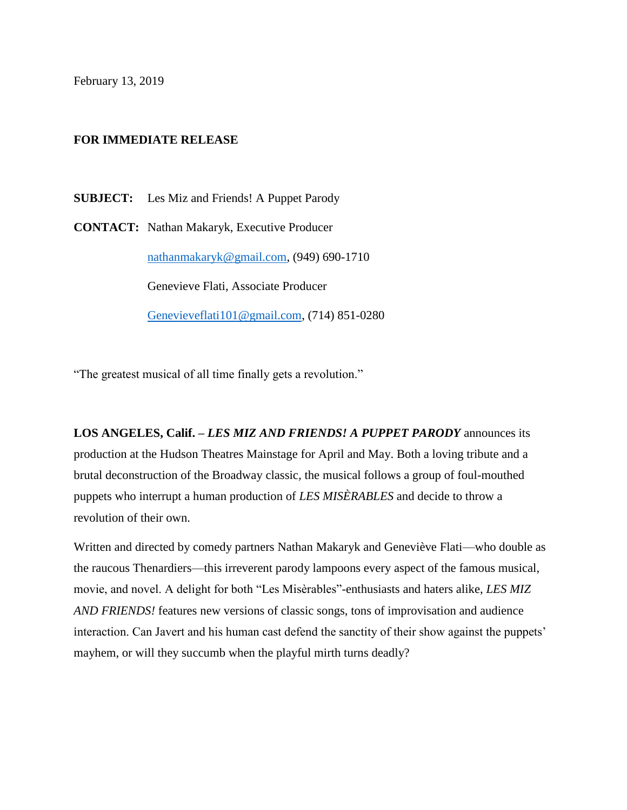February 13, 2019

## **FOR IMMEDIATE RELEASE**

**SUBJECT:** Les Miz and Friends! A Puppet Parody

**CONTACT:** Nathan Makaryk, Executive Producer [nathanmakaryk@gmail.com,](mailto:nathanmakaryk@gmail.com) (949) 690-1710 Genevieve Flati, Associate Producer [Genevieveflati101@gmail.com,](mailto:Genevieveflati101@gmail.com) (714) 851-0280

"The greatest musical of all time finally gets a revolution."

**LOS ANGELES, Calif. –** *LES MIZ AND FRIENDS! A PUPPET PARODY* announces its production at the Hudson Theatres Mainstage for April and May. Both a loving tribute and a brutal deconstruction of the Broadway classic*,* the musical follows a group of foul-mouthed puppets who interrupt a human production of *LES MISÈRABLES* and decide to throw a revolution of their own.

Written and directed by comedy partners Nathan Makaryk and Geneviève Flati—who double as the raucous Thenardiers—this irreverent parody lampoons every aspect of the famous musical, movie, and novel. A delight for both "Les Misèrables"-enthusiasts and haters alike, *LES MIZ AND FRIENDS!* features new versions of classic songs, tons of improvisation and audience interaction. Can Javert and his human cast defend the sanctity of their show against the puppets' mayhem, or will they succumb when the playful mirth turns deadly?